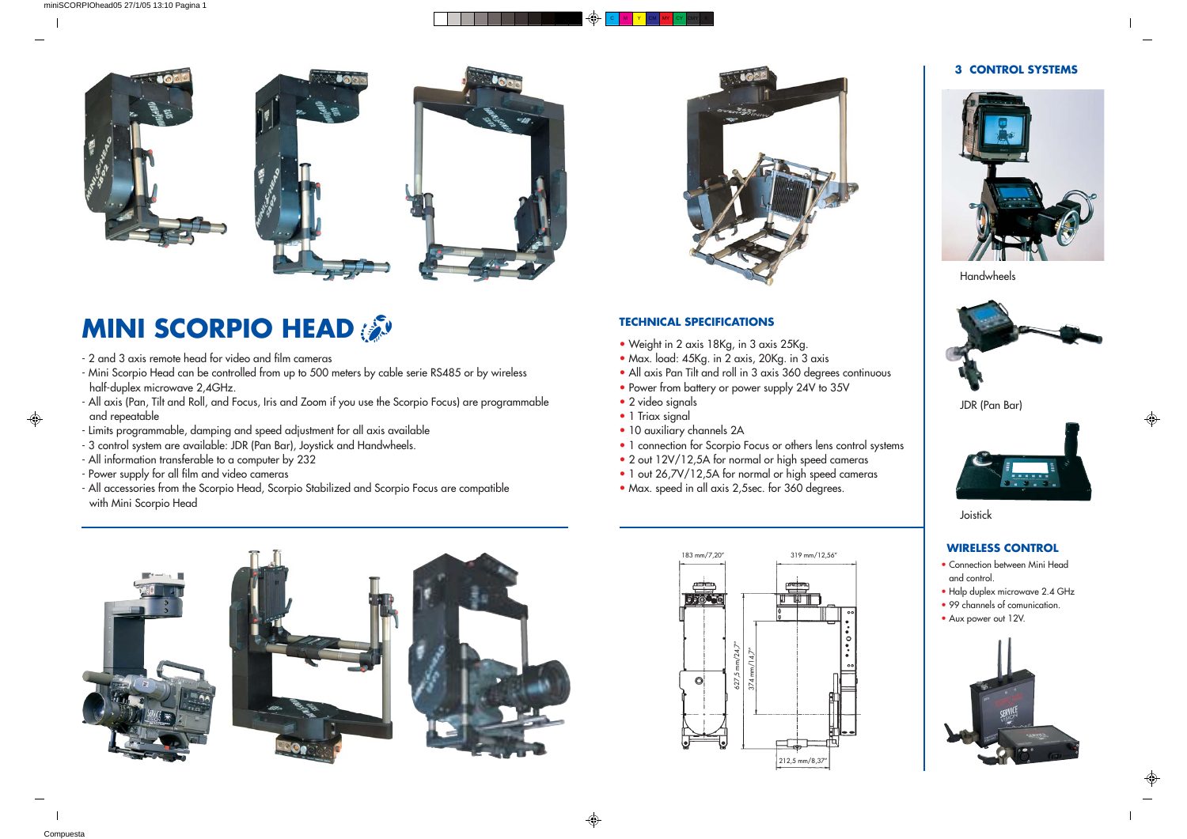### C M Y CM MY CY CMY K





## **MINI SCORPIO HEAD**

 $\bigoplus$ 

#### **TECHNICAL SPECIFICATIONS**

#### **3 CONTROL SYSTEMS**



JDR (Pan Bar)



Joistick

Handwheels



#### **WIRELESS CONTROL**

- Connection between Mini Head and control.
- Halp duplex microwave 2.4 GHz
- 99 channels of comunication.
- Aux power out 12V.





- Weight in 2 axis 18Kg, in 3 axis 25Kg.
- Max. load: 45Kg. in 2 axis, 20Kg. in 3 axis
- All axis Pan Tilt and roll in 3 axis 360 degrees continuous
- Power from battery or power supply 24V to 35V
- 2 video signals
- 1 Triax signal

⊕

- 2 and 3 axis remote head for video and film cameras
- Mini Scorpio Head can be controlled from up to 500 meters by cable serie RS485 or by wireless half-duplex microwave 2,4GHz.
- All axis (Pan, Tilt and Roll, and Focus, Iris and Zoom if you use the Scorpio Focus) are programmable and repeatable
- Limits programmable, damping and speed adjustment for all axis available
- 3 control system are available: JDR (Pan Bar), Joystick and Handwheels.
- All information transferable to a computer by 232
- Power supply for all film and video cameras
- All accessories from the Scorpio Head, Scorpio Stabilized and Scorpio Focus are compatible with Mini Scorpio Head



- 10 auxiliary channels 2A
- 1 connection for Scorpio Focus or others lens control systems
- 2 out 12V/12,5A for normal or high speed cameras
- 1 out 26,7V/12,5A for normal or high speed cameras
- Max. speed in all axis 2,5sec. for 360 degrees.